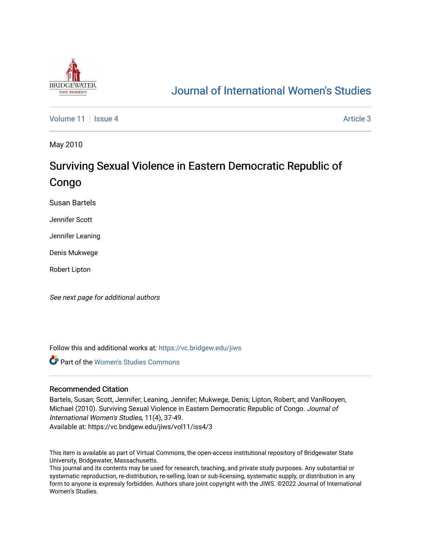

# [Journal of International Women's Studies](https://vc.bridgew.edu/jiws)

[Volume 11](https://vc.bridgew.edu/jiws/vol11) | [Issue 4](https://vc.bridgew.edu/jiws/vol11/iss4) Article 3

May 2010

# Surviving Sexual Violence in Eastern Democratic Republic of Congo

Susan Bartels

Jennifer Scott

Jennifer Leaning

Denis Mukwege

Robert Lipton

See next page for additional authors

Follow this and additional works at: [https://vc.bridgew.edu/jiws](https://vc.bridgew.edu/jiws?utm_source=vc.bridgew.edu%2Fjiws%2Fvol11%2Fiss4%2F3&utm_medium=PDF&utm_campaign=PDFCoverPages)

Part of the [Women's Studies Commons](http://network.bepress.com/hgg/discipline/561?utm_source=vc.bridgew.edu%2Fjiws%2Fvol11%2Fiss4%2F3&utm_medium=PDF&utm_campaign=PDFCoverPages) 

#### Recommended Citation

Bartels, Susan; Scott, Jennifer; Leaning, Jennifer; Mukwege, Denis; Lipton, Robert; and VanRooyen, Michael (2010). Surviving Sexual Violence in Eastern Democratic Republic of Congo. Journal of International Women's Studies, 11(4), 37-49.

Available at: https://vc.bridgew.edu/jiws/vol11/iss4/3

This item is available as part of Virtual Commons, the open-access institutional repository of Bridgewater State University, Bridgewater, Massachusetts.

This journal and its contents may be used for research, teaching, and private study purposes. Any substantial or systematic reproduction, re-distribution, re-selling, loan or sub-licensing, systematic supply, or distribution in any form to anyone is expressly forbidden. Authors share joint copyright with the JIWS. ©2022 Journal of International Women's Studies.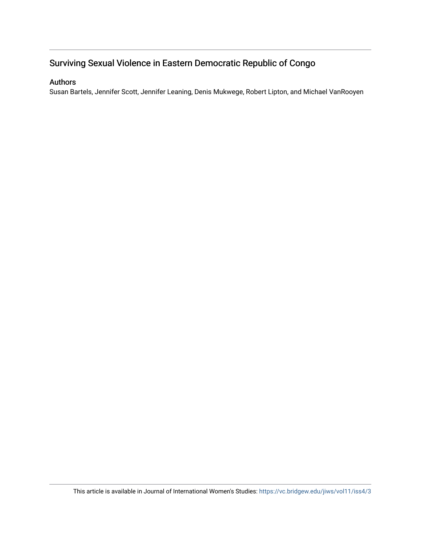# Surviving Sexual Violence in Eastern Democratic Republic of Congo

# Authors

Susan Bartels, Jennifer Scott, Jennifer Leaning, Denis Mukwege, Robert Lipton, and Michael VanRooyen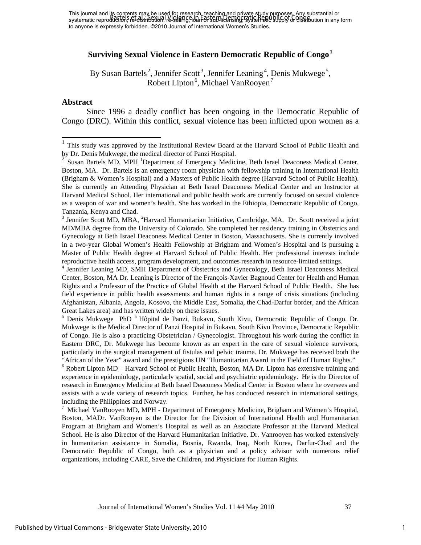This journal and its contents may be used for research, teaching and private study purposes. Any substantial or This journal and the contents that be useful freedom. Repetition, and the street burgers any substantial or sub-<br>systematic reproduction, re-distribution, re-selling, but Fas sub-licensing, systematic supply or distributio to anyone is expressly forbidden. ©2010 Journal of International Women's Studies.

## **Surviving Sexual Violence in Eastern Democratic Republic of Congo<sup>1</sup>**

By Susan Bartels<sup>2</sup>, Jennifer Scott<sup>3</sup>, Jennifer Leaning<sup>4</sup>, Denis Mukwege<sup>5</sup>, Robert Lipton<sup>6</sup>, Michael VanRooyen<sup>7</sup>

#### **Abstract**

Since 1996 a deadly conflict has been ongoing in the Democratic Republic of Congo (DRC). Within this conflict, sexual violence has been inflicted upon women as a

<sup>3</sup> Jennifer Scott MD, MBA, <sup>2</sup>Harvard Humanitarian Initiative, Cambridge, MA. Dr. Scott received a joint MD/MBA degree from the University of Colorado. She completed her residency training in Obstetrics and Gynecology at Beth Israel Deaconess Medical Center in Boston, Massachusetts. She is currently involved in a two-year Global Women's Health Fellowship at Brigham and Women's Hospital and is pursuing a Master of Public Health degree at Harvard School of Public Health. Her professional interests include reproductive health access, program development, and outcomes research in resource-limited settings. 4

<sup>4</sup> Jennifer Leaning MD, SMH Department of Obstetrics and Gynecology, Beth Israel Deaconess Medical Center, Boston, MA Dr. Leaning is Director of the François-Xavier Bagnoud Center for Health and Human Rights and a Professor of the Practice of Global Health at the Harvard School of Public Health. She has field experience in public health assessments and human rights in a range of crisis situations (including Afghanistan, Albania, Angola, Kosovo, the Middle East, Somalia, the Chad-Darfur border, and the African Great Lakes area) and has written widely on these issues.

<sup>5</sup> Denis Mukwege PhD<sup>5</sup> Hôpital de Panzi, Bukavu, South Kivu, Democratic Republic of Congo. Dr. Mukwege is the Medical Director of Panzi Hospital in Bukavu, South Kivu Province, Democratic Republic of Congo. He is also a practicing Obstetrician / Gynecologist. Throughout his work during the conflict in Eastern DRC, Dr. Mukwege has become known as an expert in the care of sexual violence survivors, particularly in the surgical management of fistulas and pelvic trauma. Dr. Mukwege has received both the "African of the Year" award and the prestigious UN "Humanitarian Award in the Field of Human Rights." 6

 $6$  Robert Lipton MD – Harvard School of Public Health, Boston, MA Dr. Lipton has extensive training and experience in epidemiology, particularly spatial, social and psychiatric epidemiology. He is the Director of research in Emergency Medicine at Beth Israel Deaconess Medical Center in Boston where he oversees and assists with a wide variety of research topics. Further, he has conducted research in international settings, including the Philippines and Norway.

<sup>7</sup> Michael VanRooyen MD, MPH - Department of Emergency Medicine, Brigham and Women's Hospital, Boston, MADr. VanRooyen is the Director for the Division of International Health and Humanitarian Program at Brigham and Women's Hospital as well as an Associate Professor at the Harvard Medical School. He is also Director of the Harvard Humanitarian Initiative. Dr. Vanrooyen has worked extensively in humanitarian assistance in Somalia, Bosnia, Rwanda, Iraq, North Korea, Darfur-Chad and the Democratic Republic of Congo, both as a physician and a policy advisor with numerous relief organizations, including CARE, Save the Children, and Physicians for Human Rights.

 $<sup>1</sup>$  This study was approved by the Institutional Review Board at the Harvard School of Public Health and</sup> by Dr. Denis Mukwege, the medical director of Panzi Hospital.

Susan Bartels MD, MPH <sup>1</sup>Department of Emergency Medicine, Beth Israel Deaconess Medical Center, Boston, MA. Dr. Bartels is an emergency room physician with fellowship training in International Health (Brigham & Women's Hospital) and a Masters of Public Health degree (Harvard School of Public Health). She is currently an Attending Physician at Beth Israel Deaconess Medical Center and an Instructor at Harvard Medical School. Her international and public health work are currently focused on sexual violence as a weapon of war and women's health. She has worked in the Ethiopia, Democratic Republic of Congo, Tanzania, Kenya and Chad.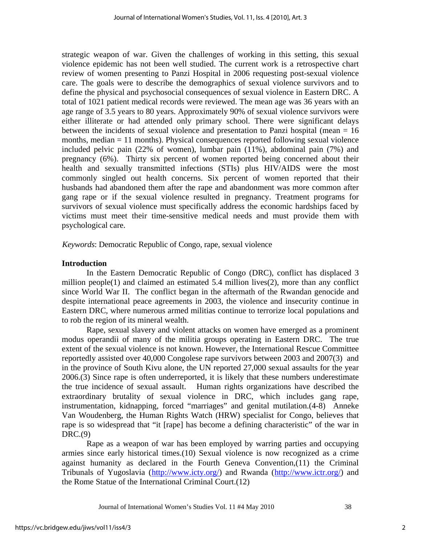strategic weapon of war. Given the challenges of working in this setting, this sexual violence epidemic has not been well studied. The current work is a retrospective chart review of women presenting to Panzi Hospital in 2006 requesting post-sexual violence care. The goals were to describe the demographics of sexual violence survivors and to define the physical and psychosocial consequences of sexual violence in Eastern DRC. A total of 1021 patient medical records were reviewed. The mean age was 36 years with an age range of 3.5 years to 80 years. Approximately 90% of sexual violence survivors were either illiterate or had attended only primary school. There were significant delays between the incidents of sexual violence and presentation to Panzi hospital (mean = 16 months, median = 11 months). Physical consequences reported following sexual violence included pelvic pain (22% of women), lumbar pain (11%), abdominal pain (7%) and pregnancy (6%). Thirty six percent of women reported being concerned about their health and sexually transmitted infections (STIs) plus HIV/AIDS were the most commonly singled out health concerns. Six percent of women reported that their husbands had abandoned them after the rape and abandonment was more common after gang rape or if the sexual violence resulted in pregnancy. Treatment programs for survivors of sexual violence must specifically address the economic hardships faced by victims must meet their time-sensitive medical needs and must provide them with psychological care.

<sup>B</sup>*Keywords*: Democratic Republic of Congo, rape, sexual violence

### **Introduction**

In the Eastern Democratic Republic of Congo (DRC), conflict has displaced 3 million people(1) and claimed an estimated 5.4 million lives(2), more than any conflict since World War II. The conflict began in the aftermath of the Rwandan genocide and despite international peace agreements in 2003, the violence and insecurity continue in Eastern DRC, where numerous armed militias continue to terrorize local populations and to rob the region of its mineral wealth.

 Rape, sexual slavery and violent attacks on women have emerged as a prominent modus operandii of many of the militia groups operating in Eastern DRC. The true extent of the sexual violence is not known. However, the International Rescue Committee reportedly assisted over 40,000 Congolese rape survivors between 2003 and 2007(3) and in the province of South Kivu alone, the UN reported 27,000 sexual assaults for the year 2006.(3) Since rape is often underreported, it is likely that these numbers underestimate the true incidence of sexual assault. Human rights organizations have described the extraordinary brutality of sexual violence in DRC, which includes gang rape, instrumentation, kidnapping, forced "marriages" and genital mutilation.(4-8) Anneke Van Woudenberg, the Human Rights Watch (HRW) specialist for Congo, believes that rape is so widespread that "it [rape] has become a defining characteristic" of the war in DRC.(9)

 Rape as a weapon of war has been employed by warring parties and occupying armies since early historical times.(10) Sexual violence is now recognized as a crime against humanity as declared in the Fourth Geneva Convention,(11) the Criminal Tribunals of Yugoslavia (http://www.icty.org/) and Rwanda (http://www.ictr.org/) and the Rome Statue of the International Criminal Court.(12)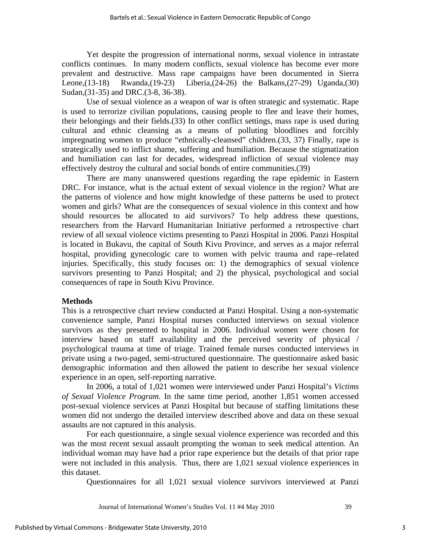Yet despite the progression of international norms, sexual violence in intrastate conflicts continues. In many modern conflicts, sexual violence has become ever more prevalent and destructive. Mass rape campaigns have been documented in Sierra Leone,(13-18) Rwanda,(19-23) Liberia,(24-26) the Balkans,(27-29) Uganda,(30) Sudan,(31-35) and DRC.(3-8, 36-38).

 Use of sexual violence as a weapon of war is often strategic and systematic. Rape is used to terrorize civilian populations, causing people to flee and leave their homes, their belongings and their fields.(33) In other conflict settings, mass rape is used during cultural and ethnic cleansing as a means of polluting bloodlines and forcibly impregnating women to produce "ethnically-cleansed" children.(33, 37) Finally, rape is strategically used to inflict shame, suffering and humiliation. Because the stigmatization and humiliation can last for decades, widespread infliction of sexual violence may effectively destroy the cultural and social bonds of entire communities.(39)

 There are many unanswered questions regarding the rape epidemic in Eastern DRC. For instance, what is the actual extent of sexual violence in the region? What are the patterns of violence and how might knowledge of these patterns be used to protect women and girls? What are the consequences of sexual violence in this context and how should resources be allocated to aid survivors? To help address these questions, researchers from the Harvard Humanitarian Initiative performed a retrospective chart review of all sexual violence victims presenting to Panzi Hospital in 2006. Panzi Hospital is located in Bukavu, the capital of South Kivu Province, and serves as a major referral hospital, providing gynecologic care to women with pelvic trauma and rape–related injuries. Specifically, this study focuses on: 1) the demographics of sexual violence survivors presenting to Panzi Hospital; and 2) the physical, psychological and social consequences of rape in South Kivu Province.

#### **Methods**

This is a retrospective chart review conducted at Panzi Hospital. Using a non-systematic convenience sample, Panzi Hospital nurses conducted interviews on sexual violence survivors as they presented to hospital in 2006. Individual women were chosen for interview based on staff availability and the perceived severity of physical / psychological trauma at time of triage. Trained female nurses conducted interviews in private using a two-paged, semi-structured questionnaire. The questionnaire asked basic demographic information and then allowed the patient to describe her sexual violence experience in an open, self-reporting narrative.

 In 2006, a total of 1,021 women were interviewed under Panzi Hospital's *Victims of Sexual Violence Program.* In the same time period, another 1,851 women accessed post-sexual violence services at Panzi Hospital but because of staffing limitations these women did not undergo the detailed interview described above and data on these sexual assaults are not captured in this analysis.

 For each questionnaire, a single sexual violence experience was recorded and this was the most recent sexual assault prompting the woman to seek medical attention. An individual woman may have had a prior rape experience but the details of that prior rape were not included in this analysis. Thus, there are 1,021 sexual violence experiences in this dataset.

Questionnaires for all 1,021 sexual violence survivors interviewed at Panzi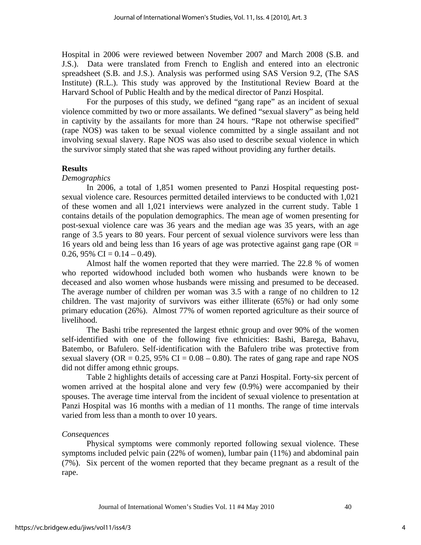Hospital in 2006 were reviewed between November 2007 and March 2008 (S.B. and J.S.). Data were translated from French to English and entered into an electronic spreadsheet (S.B. and J.S.). Analysis was performed using SAS Version 9.2, (The SAS Institute) (R.L.). This study was approved by the Institutional Review Board at the Harvard School of Public Health and by the medical director of Panzi Hospital.

 For the purposes of this study, we defined "gang rape" as an incident of sexual violence committed by two or more assailants. We defined "sexual slavery" as being held in captivity by the assailants for more than 24 hours. "Rape not otherwise specified" (rape NOS) was taken to be sexual violence committed by a single assailant and not involving sexual slavery. Rape NOS was also used to describe sexual violence in which the survivor simply stated that she was raped without providing any further details.

#### **Results**

#### *Demographics*

 In 2006, a total of 1,851 women presented to Panzi Hospital requesting postsexual violence care. Resources permitted detailed interviews to be conducted with 1,021 of these women and all 1,021 interviews were analyzed in the current study. Table 1 contains details of the population demographics. The mean age of women presenting for post-sexual violence care was 36 years and the median age was 35 years, with an age range of 3.5 years to 80 years. Four percent of sexual violence survivors were less than 16 years old and being less than 16 years of age was protective against gang rape (OR =  $0.26$ , 95% CI =  $0.14 - 0.49$ ).

 Almost half the women reported that they were married. The 22.8 % of women who reported widowhood included both women who husbands were known to be deceased and also women whose husbands were missing and presumed to be deceased. The average number of children per woman was 3.5 with a range of no children to 12 children. The vast majority of survivors was either illiterate (65%) or had only some primary education (26%). Almost 77% of women reported agriculture as their source of livelihood.

 The Bashi tribe represented the largest ethnic group and over 90% of the women self-identified with one of the following five ethnicities: Bashi, Barega, Bahavu, Batembo, or Bafulero. Self-identification with the Bafulero tribe was protective from sexual slavery (OR =  $0.25$ , 95% CI =  $0.08 - 0.80$ ). The rates of gang rape and rape NOS did not differ among ethnic groups.

 Table 2 highlights details of accessing care at Panzi Hospital. Forty-six percent of women arrived at the hospital alone and very few (0.9%) were accompanied by their spouses. The average time interval from the incident of sexual violence to presentation at Panzi Hospital was 16 months with a median of 11 months. The range of time intervals varied from less than a month to over 10 years.

#### *Consequences*

 Physical symptoms were commonly reported following sexual violence. These symptoms included pelvic pain (22% of women), lumbar pain (11%) and abdominal pain (7%). Six percent of the women reported that they became pregnant as a result of the rape.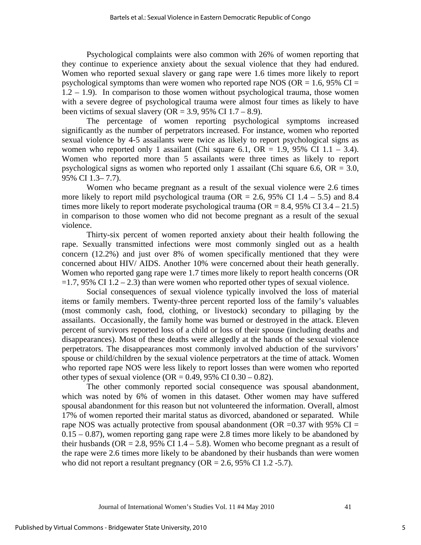Psychological complaints were also common with 26% of women reporting that they continue to experience anxiety about the sexual violence that they had endured. Women who reported sexual slavery or gang rape were 1.6 times more likely to report psychological symptoms than were women who reported rape NOS (OR = 1.6, 95% CI =  $1.2 - 1.9$ ). In comparison to those women without psychological trauma, those women with a severe degree of psychological trauma were almost four times as likely to have been victims of sexual slavery (OR = 3.9, 95% CI  $1.7 - 8.9$ ).

 The percentage of women reporting psychological symptoms increased significantly as the number of perpetrators increased. For instance, women who reported sexual violence by 4-5 assailants were twice as likely to report psychological signs as women who reported only 1 assailant (Chi square 6.1,  $OR = 1.9$ , 95% CI 1.1 – 3.4). Women who reported more than 5 assailants were three times as likely to report psychological signs as women who reported only 1 assailant (Chi square 6.6,  $OR = 3.0$ , 95% CI 1.3– 7.7).

 Women who became pregnant as a result of the sexual violence were 2.6 times more likely to report mild psychological trauma ( $OR = 2.6$ , 95% CI 1.4 – 5.5) and 8.4 times more likely to report moderate psychological trauma ( $OR = 8.4$ , 95% CI 3.4 – 21.5) in comparison to those women who did not become pregnant as a result of the sexual violence.

 Thirty-six percent of women reported anxiety about their health following the rape. Sexually transmitted infections were most commonly singled out as a health concern (12.2%) and just over 8% of women specifically mentioned that they were concerned about HIV/ AIDS. Another 10% were concerned about their heath generally. Women who reported gang rape were 1.7 times more likely to report health concerns (OR  $=1.7, 95\%$  CI 1.2 – 2.3) than were women who reported other types of sexual violence.

 Social consequences of sexual violence typically involved the loss of material items or family members. Twenty-three percent reported loss of the family's valuables (most commonly cash, food, clothing, or livestock) secondary to pillaging by the assailants. Occasionally, the family home was burned or destroyed in the attack. Eleven percent of survivors reported loss of a child or loss of their spouse (including deaths and disappearances). Most of these deaths were allegedly at the hands of the sexual violence perpetrators. The disappearances most commonly involved abduction of the survivors' spouse or child/children by the sexual violence perpetrators at the time of attack. Women who reported rape NOS were less likely to report losses than were women who reported other types of sexual violence (OR =  $0.49, 95\%$  CI  $0.30 - 0.82$ ).

The other commonly reported social consequence was spousal abandonment, which was noted by 6% of women in this dataset. Other women may have suffered spousal abandonment for this reason but not volunteered the information. Overall, almost 17% of women reported their marital status as divorced, abandoned or separated. While rape NOS was actually protective from spousal abandonment (OR =  $0.37$  with 95% CI =  $0.15 - 0.87$ ), women reporting gang rape were 2.8 times more likely to be abandoned by their husbands (OR = 2.8, 95% CI 1.4 – 5.8). Women who become pregnant as a result of the rape were 2.6 times more likely to be abandoned by their husbands than were women who did not report a resultant pregnancy ( $OR = 2.6$ , 95% CI 1.2 -5.7).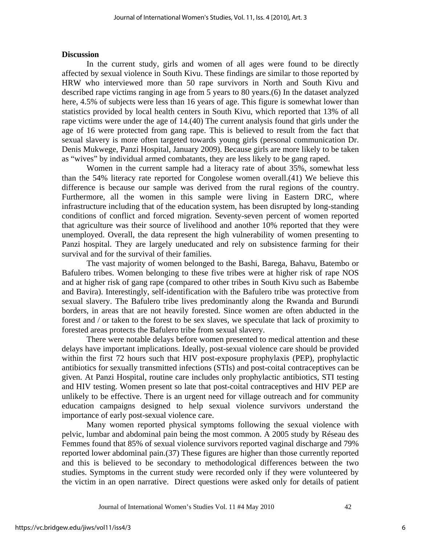#### **Discussion**

 In the current study, girls and women of all ages were found to be directly affected by sexual violence in South Kivu. These findings are similar to those reported by HRW who interviewed more than 50 rape survivors in North and South Kivu and described rape victims ranging in age from 5 years to 80 years.(6) In the dataset analyzed here, 4.5% of subjects were less than 16 years of age. This figure is somewhat lower than statistics provided by local health centers in South Kivu, which reported that 13% of all rape victims were under the age of 14.(40) The current analysis found that girls under the age of 16 were protected from gang rape. This is believed to result from the fact that sexual slavery is more often targeted towards young girls (personal communication Dr. Denis Mukwege, Panzi Hospital, January 2009). Because girls are more likely to be taken as "wives" by individual armed combatants, they are less likely to be gang raped.

 Women in the current sample had a literacy rate of about 35%, somewhat less than the 54% literacy rate reported for Congolese women overall.(41) We believe this difference is because our sample was derived from the rural regions of the country. Furthermore, all the women in this sample were living in Eastern DRC, where infrastructure including that of the education system, has been disrupted by long-standing conditions of conflict and forced migration. Seventy-seven percent of women reported that agriculture was their source of livelihood and another 10% reported that they were unemployed. Overall, the data represent the high vulnerability of women presenting to Panzi hospital. They are largely uneducated and rely on subsistence farming for their survival and for the survival of their families.

 The vast majority of women belonged to the Bashi, Barega, Bahavu, Batembo or Bafulero tribes. Women belonging to these five tribes were at higher risk of rape NOS and at higher risk of gang rape (compared to other tribes in South Kivu such as Babembe and Bavira). Interestingly, self-identification with the Bafulero tribe was protective from sexual slavery. The Bafulero tribe lives predominantly along the Rwanda and Burundi borders, in areas that are not heavily forested. Since women are often abducted in the forest and / or taken to the forest to be sex slaves, we speculate that lack of proximity to forested areas protects the Bafulero tribe from sexual slavery.

 There were notable delays before women presented to medical attention and these delays have important implications. Ideally, post-sexual violence care should be provided within the first 72 hours such that HIV post-exposure prophylaxis (PEP), prophylactic antibiotics for sexually transmitted infections (STIs) and post-coital contraceptives can be given. At Panzi Hospital, routine care includes only prophylactic antibiotics, STI testing and HIV testing. Women present so late that post-coital contraceptives and HIV PEP are unlikely to be effective. There is an urgent need for village outreach and for community education campaigns designed to help sexual violence survivors understand the importance of early post-sexual violence care.

 Many women reported physical symptoms following the sexual violence with pelvic, lumbar and abdominal pain being the most common. A 2005 study by Réseau des Femmes found that 85% of sexual violence survivors reported vaginal discharge and 79% reported lower abdominal pain.(37) These figures are higher than those currently reported and this is believed to be secondary to methodological differences between the two studies. Symptoms in the current study were recorded only if they were volunteered by the victim in an open narrative. Direct questions were asked only for details of patient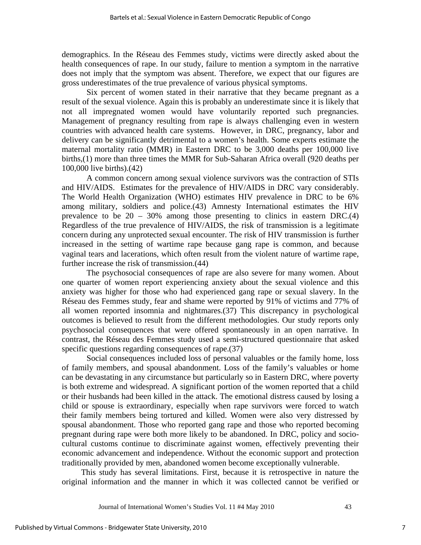demographics. In the Réseau des Femmes study, victims were directly asked about the health consequences of rape. In our study, failure to mention a symptom in the narrative does not imply that the symptom was absent. Therefore, we expect that our figures are gross underestimates of the true prevalence of various physical symptoms.

 Six percent of women stated in their narrative that they became pregnant as a result of the sexual violence. Again this is probably an underestimate since it is likely that not all impregnated women would have voluntarily reported such pregnancies. Management of pregnancy resulting from rape is always challenging even in western countries with advanced health care systems. However, in DRC, pregnancy, labor and delivery can be significantly detrimental to a women's health. Some experts estimate the maternal mortality ratio (MMR) in Eastern DRC to be 3,000 deaths per 100,000 live births,(1) more than three times the MMR for Sub-Saharan Africa overall (920 deaths per 100,000 live births).(42)

 A common concern among sexual violence survivors was the contraction of STIs and HIV/AIDS. Estimates for the prevalence of HIV/AIDS in DRC vary considerably. The World Health Organization (WHO) estimates HIV prevalence in DRC to be 6% among military, soldiers and police.(43) Amnesty International estimates the HIV prevalence to be  $20 - 30\%$  among those presenting to clinics in eastern DRC.(4) Regardless of the true prevalence of HIV/AIDS, the risk of transmission is a legitimate concern during any unprotected sexual encounter. The risk of HIV transmission is further increased in the setting of wartime rape because gang rape is common, and because vaginal tears and lacerations, which often result from the violent nature of wartime rape, further increase the risk of transmission.(44)

 The psychosocial consequences of rape are also severe for many women. About one quarter of women report experiencing anxiety about the sexual violence and this anxiety was higher for those who had experienced gang rape or sexual slavery. In the Réseau des Femmes study, fear and shame were reported by 91% of victims and 77% of all women reported insomnia and nightmares.(37) This discrepancy in psychological outcomes is believed to result from the different methodologies. Our study reports only psychosocial consequences that were offered spontaneously in an open narrative. In contrast, the Réseau des Femmes study used a semi-structured questionnaire that asked specific questions regarding consequences of rape.(37)

 Social consequences included loss of personal valuables or the family home, loss of family members, and spousal abandonment. Loss of the family's valuables or home can be devastating in any circumstance but particularly so in Eastern DRC, where poverty is both extreme and widespread. A significant portion of the women reported that a child or their husbands had been killed in the attack. The emotional distress caused by losing a child or spouse is extraordinary, especially when rape survivors were forced to watch their family members being tortured and killed. Women were also very distressed by spousal abandonment. Those who reported gang rape and those who reported becoming pregnant during rape were both more likely to be abandoned. In DRC, policy and sociocultural customs continue to discriminate against women, effectively preventing their economic advancement and independence. Without the economic support and protection traditionally provided by men, abandoned women become exceptionally vulnerable.

 This study has several limitations. First, because it is retrospective in nature the original information and the manner in which it was collected cannot be verified or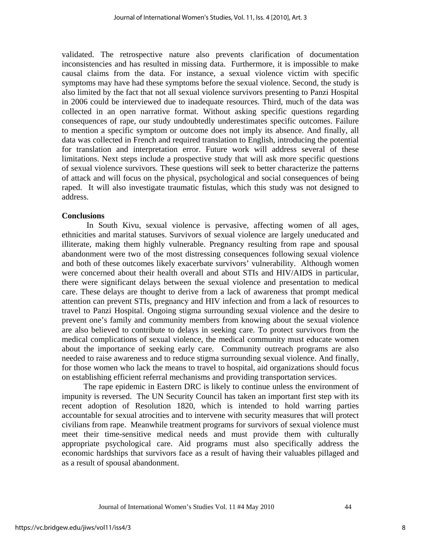validated. The retrospective nature also prevents clarification of documentation inconsistencies and has resulted in missing data. Furthermore, it is impossible to make causal claims from the data. For instance, a sexual violence victim with specific symptoms may have had these symptoms before the sexual violence. Second, the study is also limited by the fact that not all sexual violence survivors presenting to Panzi Hospital in 2006 could be interviewed due to inadequate resources. Third, much of the data was collected in an open narrative format. Without asking specific questions regarding consequences of rape, our study undoubtedly underestimates specific outcomes. Failure to mention a specific symptom or outcome does not imply its absence. And finally, all data was collected in French and required translation to English, introducing the potential for translation and interpretation error. Future work will address several of these limitations. Next steps include a prospective study that will ask more specific questions of sexual violence survivors. These questions will seek to better characterize the patterns of attack and will focus on the physical, psychological and social consequences of being raped. It will also investigate traumatic fistulas, which this study was not designed to address.

#### **Conclusions**

 In South Kivu, sexual violence is pervasive, affecting women of all ages, ethnicities and marital statuses. Survivors of sexual violence are largely uneducated and illiterate, making them highly vulnerable. Pregnancy resulting from rape and spousal abandonment were two of the most distressing consequences following sexual violence and both of these outcomes likely exacerbate survivors' vulnerability. Although women were concerned about their health overall and about STIs and HIV/AIDS in particular, there were significant delays between the sexual violence and presentation to medical care. These delays are thought to derive from a lack of awareness that prompt medical attention can prevent STIs, pregnancy and HIV infection and from a lack of resources to travel to Panzi Hospital. Ongoing stigma surrounding sexual violence and the desire to prevent one's family and community members from knowing about the sexual violence are also believed to contribute to delays in seeking care. To protect survivors from the medical complications of sexual violence, the medical community must educate women about the importance of seeking early care. Community outreach programs are also needed to raise awareness and to reduce stigma surrounding sexual violence. And finally, for those women who lack the means to travel to hospital, aid organizations should focus on establishing efficient referral mechanisms and providing transportation services.

 The rape epidemic in Eastern DRC is likely to continue unless the environment of impunity is reversed. The UN Security Council has taken an important first step with its recent adoption of Resolution 1820, which is intended to hold warring parties accountable for sexual atrocities and to intervene with security measures that will protect civilians from rape. Meanwhile treatment programs for survivors of sexual violence must meet their time-sensitive medical needs and must provide them with culturally appropriate psychological care. Aid programs must also specifically address the economic hardships that survivors face as a result of having their valuables pillaged and as a result of spousal abandonment.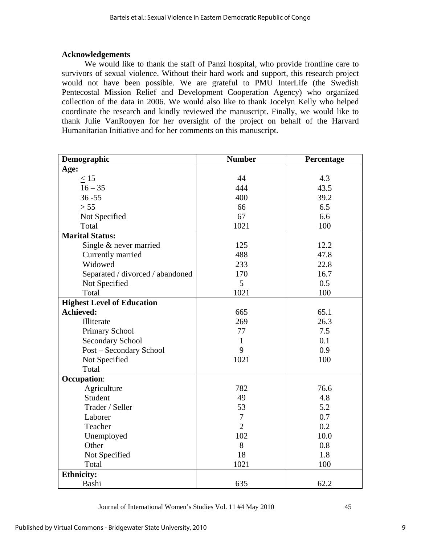### **Acknowledgements**

 We would like to thank the staff of Panzi hospital, who provide frontline care to survivors of sexual violence. Without their hard work and support, this research project would not have been possible. We are grateful to PMU InterLife (the Swedish Pentecostal Mission Relief and Development Cooperation Agency) who organized collection of the data in 2006. We would also like to thank Jocelyn Kelly who helped coordinate the research and kindly reviewed the manuscript. Finally, we would like to thank Julie VanRooyen for her oversight of the project on behalf of the Harvard Humanitarian Initiative and for her comments on this manuscript.

| Demographic                       | <b>Number</b>  | Percentage |
|-----------------------------------|----------------|------------|
| Age:                              |                |            |
| < 15                              | 44             | 4.3        |
| $16 - 35$                         | 444            | 43.5       |
| $36 - 55$                         | 400            | 39.2       |
| $\geq$ 55                         | 66             | 6.5        |
| Not Specified                     | 67             | 6.6        |
| Total                             | 1021           | 100        |
| <b>Marital Status:</b>            |                |            |
| Single $&$ never married          | 125            | 12.2       |
| Currently married                 | 488            | 47.8       |
| Widowed                           | 233            | 22.8       |
| Separated / divorced / abandoned  | 170            | 16.7       |
| Not Specified                     | 5              | 0.5        |
| Total                             | 1021           | 100        |
| <b>Highest Level of Education</b> |                |            |
| <b>Achieved:</b>                  | 665            | 65.1       |
| Illiterate                        | 269            | 26.3       |
| <b>Primary School</b>             | 77             | 7.5        |
| <b>Secondary School</b>           | 1              | 0.1        |
| Post - Secondary School           | 9              | 0.9        |
| Not Specified                     | 1021           | 100        |
| Total                             |                |            |
| <b>Occupation:</b>                |                |            |
| Agriculture                       | 782            | 76.6       |
| Student                           | 49             | 4.8        |
| Trader / Seller                   | 53             | 5.2        |
| Laborer                           | $\tau$         | 0.7        |
| Teacher                           | $\overline{2}$ | 0.2        |
| Unemployed                        | 102            | 10.0       |
| Other                             | 8              | 0.8        |
| Not Specified                     | 18             | 1.8        |
| Total                             | 1021           | 100        |
| <b>Ethnicity:</b>                 |                |            |
| Bashi                             | 635            | 62.2       |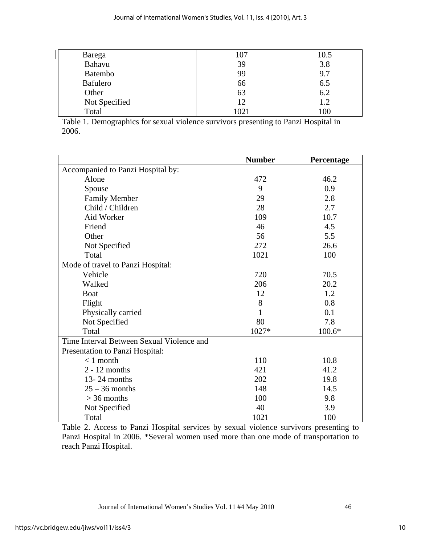| Barega<br>$\mathsf{I}$ | 107  | 10.5 |
|------------------------|------|------|
| Bahavu                 | 39   | 3.8  |
| <b>Batembo</b>         | 99   | 9.7  |
| <b>Bafulero</b>        | 66   | 6.5  |
| Other                  | 63   | 6.2  |
| Not Specified          | 12   | 1.2  |
| Total                  | 1021 | 100  |

Table 1. Demographics for sexual violence survivors presenting to Panzi Hospital in 2006.

|                                           | <b>Number</b> | Percentage |
|-------------------------------------------|---------------|------------|
| Accompanied to Panzi Hospital by:         |               |            |
| Alone                                     | 472           | 46.2       |
| Spouse                                    | 9             | 0.9        |
| <b>Family Member</b>                      | 29            | 2.8        |
| Child / Children                          | 28            | 2.7        |
| Aid Worker                                | 109           | 10.7       |
| Friend                                    | 46            | 4.5        |
| Other                                     | 56            | 5.5        |
| Not Specified                             | 272           | 26.6       |
| Total                                     | 1021          | 100        |
| Mode of travel to Panzi Hospital:         |               |            |
| Vehicle                                   | 720           | 70.5       |
| Walked                                    | 206           | 20.2       |
| <b>Boat</b>                               | 12            | 1.2        |
| Flight                                    | 8             | 0.8        |
| Physically carried                        | 1             | 0.1        |
| Not Specified                             | 80            | 7.8        |
| Total                                     | 1027*         | $100.6*$   |
| Time Interval Between Sexual Violence and |               |            |
| Presentation to Panzi Hospital:           |               |            |
| $< 1$ month                               | 110           | 10.8       |
| $2 - 12$ months                           | 421           | 41.2       |
| 13-24 months                              | 202           | 19.8       |
| $25 - 36$ months                          | 148           | 14.5       |
| $>$ 36 months                             | 100           | 9.8        |
| Not Specified                             | 40            | 3.9        |
| Total                                     | 1021          | 100        |

Table 2. Access to Panzi Hospital services by sexual violence survivors presenting to Panzi Hospital in 2006. \*Several women used more than one mode of transportation to reach Panzi Hospital.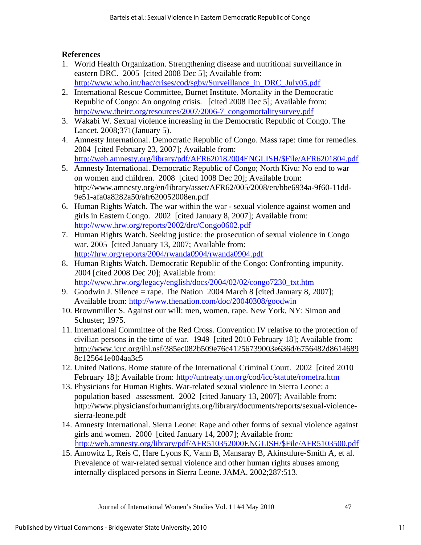# **References**

- 1. World Health Organization. Strengthening disease and nutritional surveillance in eastern DRC. 2005 [cited 2008 Dec 5]; Available from: http://www.who.int/hac/crises/cod/sgbv/Surveillance\_in\_DRC\_July05.pdf
- 2. International Rescue Committee, Burnet Institute. Mortality in the Democratic Republic of Congo: An ongoing crisis. [cited 2008 Dec 5]; Available from: http://www.theirc.org/resources/2007/2006-7\_congomortalitysurvey.pdf
- 3. Wakabi W. Sexual violence increasing in the Democratic Republic of Congo. The Lancet. 2008;371(January 5).
- 4. Amnesty International. Democratic Republic of Congo. Mass rape: time for remedies. 2004 [cited February 23, 2007]; Available from: <sup>H</sup>http://web.amnesty.org/library/pdf/AFR620182004ENGLISH/\$File/AFR6201804.pdf
- 5. Amnesty International. Democratic Republic of Congo; North Kivu: No end to war on women and children. 2008 [cited 1008 Dec 20]; Available from: http://www.amnesty.org/en/library/asset/AFR62/005/2008/en/bbe6934a-9f60-11dd-9e51-afa0a8282a50/afr620052008en.pdf
- 6. Human Rights Watch. The war within the war sexual violence against women and girls in Eastern Congo. 2002 [cited January 8, 2007]; Available from: http://www.hrw.org/reports/2002/drc/Congo0602.pdf
- 7. Human Rights Watch. Seeking justice: the prosecution of sexual violence in Congo war. 2005 [cited January 13, 2007; Available from: <sup>H</sup>http://hrw.org/reports/2004/rwanda0904/rwanda0904.pdf
- 8. Human Rights Watch. Democratic Republic of the Congo: Confronting impunity. 2004 [cited 2008 Dec 20]; Available from: <sup>H</sup>http://www.hrw.org/legacy/english/docs/2004/02/02/congo7230\_txt.htm
- 9. Goodwin J. Silence = rape. The Nation 2004 March 8 [cited January 8, 2007]; Available from: http://www.thenation.com/doc/20040308/goodwin
- 10. Brownmiller S. Against our will: men, women, rape. New York, NY: Simon and Schuster; 1975.
- 11. International Committee of the Red Cross. Convention IV relative to the protection of civilian persons in the time of war. 1949 [cited 2010 February 18]; Available from: http://www.icrc.org/ihl.nsf/385ec082b509e76c41256739003e636d/6756482d8614689 8c1 25641e 004aa3c5
- 12. United Nations. Rome statute of the International Criminal Court. 2002 [cited 2010 February 18]; Available from: http://untreaty.un.org/cod/icc/statute/romefra.htm
- 13. Physicians for Human Rights. War-related sexual violence in Sierra Leone: a population based assessment. 2002 [cited January 13, 2007]; Available from: http://www.physiciansforhumanrights.org/library/documents/reports/sexual-violencesierra-leone.pdf
- 14. Amnesty International. Sierra Leone: Rape and other forms of sexual violence against girls and women. 2000 [cited January 14, 2007]; Available from: <sup>H</sup>http://web.amnesty.org/library/pdf/AFR510352000ENGLISH/\$File/AFR5103500.pdf
- 15. Amowitz L, Reis C, Hare Lyons K, Vann B, Mansaray B, Akinsulure-Smith A, et al. Prevalence of war-related sexual violence and other human rights abuses among internally displaced persons in Sierra Leone. JAMA. 2002;287:513.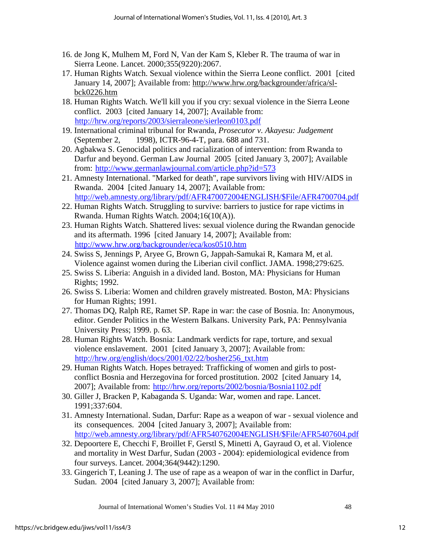- 16. de Jong K, Mulhem M, Ford N, Van der Kam S, Kleber R. The trauma of war in Sierra Leone. Lancet. 2000;355(9220):2067.
- 17. Human Rights Watch. Sexual violence within the Sierra Leone conflict. 2001 [cited January 14, 2007]; Available from: http://www.hrw.org/backgrounder/africa/slbck0226.htm
- 18. Human Rights Watch. We'll kill you if you cry: sexual violence in the Sierra Leone conflict. 2003 [cited January 14, 2007]; Available from: <sup>H</sup>http://hrw.org/reports/2003/sierraleone/sierleon0103.pdf
- 19. International criminal tribunal for Rwanda, *Prosecutor v. Akayesu: Judgement*  (September 2, 1998), ICTR-96-4-T, para. 688 and 731.
- 20. Agbakwa S. Genocidal politics and racialization of intervention: from Rwanda to Darfur and beyond. German Law Journal 2005 [cited January 3, 2007]; Available from: http://www.germanlawjournal.com/article.php?id=573
- 21. Amnesty International. "Marked for death", rape survivors living with HIV/AIDS in Rwanda. 2004 [cited January 14, 2007]; Available from: <sup>H</sup>http://web.amnesty.org/library/pdf/AFR470072004ENGLISH/\$File/AFR4700704.pdf
- 22. Human Rights Watch. Struggling to survive: barriers to justice for rape victims in Rwanda. Human Rights Watch. 2004;16(10(A)).
- 23. Human Rights Watch. Shattered lives: sexual violence during the Rwandan genocide and its aftermath. 1996 [cited January 14, 2007]; Available from: <sup>H</sup>http://www.hrw.org/backgrounder/eca/kos0510.htm
- 24. Swiss S, Jennings P, Aryee G, Brown G, Jappah-Samukai R, Kamara M, et al. Violence against women during the Liberian civil conflict. JAMA. 1998;279:625.
- 25. Swiss S. Liberia: Anguish in a divided land. Boston, MA: Physicians for Human Rights; 1992.
- 26. Swiss S. Liberia: Women and children gravely mistreated. Boston, MA: Physicians for Human Rights; 1991.
- 27. Thomas DQ, Ralph RE, Ramet SP. Rape in war: the case of Bosnia. In: Anonymous, editor. Gender Politics in the Western Balkans. University Park, PA: Pennsylvania University Press; 1999. p. 63.
- 28. Human Rights Watch. Bosnia: Landmark verdicts for rape, torture, and sexual violence enslavement. 2001 [cited January 3, 2007]; Available from: <sup>H</sup>http://hrw.org/english/docs/2001/02/22/bosher256\_txt.htm
- 29. Human Rights Watch. Hopes betrayed: Trafficking of women and girls to postconflict Bosnia and Herzegovina for forced prostitution. 2002 [cited January 14, 2007]; Available from: http://hrw.org/reports/2002/bosnia/Bosnia1102.pdf
- 30. Giller J, Bracken P, Kabaganda S. Uganda: War, women and rape. Lancet. 1991;337:604.
- 31. Amnesty International. Sudan, Darfur: Rape as a weapon of war sexual violence and its consequences. 2004 [cited January 3, 2007]; Available from: http://web.amnesty.org/library/pdf/AFR540762004ENGLISH/\$File/AFR5407604.pdf
- 32. Depoortere E, Checchi F, Broillet F, Gerstl S, Minetti A, Gayraud O, et al. Violence and mortality in West Darfur, Sudan (2003 - 2004): epidemiological evidence from four surveys. Lancet. 2004;364(9442):1290.
- 33. Gingerich T, Leaning J. The use of rape as a weapon of war in the conflict in Darfur, Sudan. 2004 [cited January 3, 2007]; Available from: